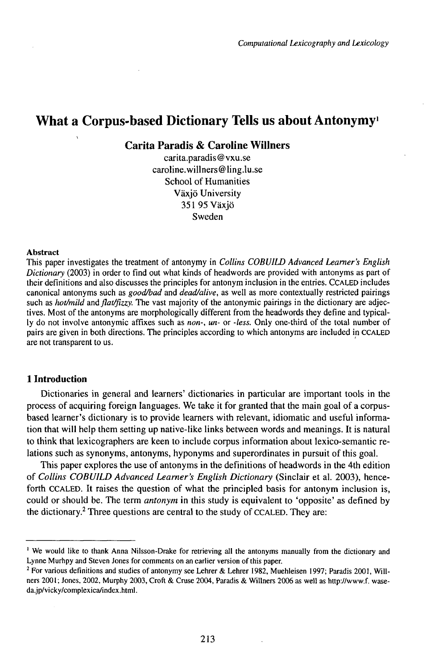# What a Corpus-based Dictionary Tells us about Antonymy<sup>1</sup>

**Carita Paradis & Caroline Willners**

carita.paradis®vxu.se caroline.willners @ ling.lu.se School of Humanities Växjö University 351 95 Växjö Sweden

#### Abstract

This paper investigates the treatment of antonymy in *Collins COBUILD Advanced Learner's English Dictionary* (2003) in order to find out what kinds of headwords are provided with antonyms as part of their definitions and also discusses the principles for antonym inclusion in the entries. CCALED includes canonical antonyms such as *gooaVbad* and *dead/alive,* as well as more contextually restricted pairings such as *hot/mild* and *flat/fizzy*. The vast majority of the antonymic pairings in the dictionary are adjectives. Most of the antonyms are morphologically different from the headwords they define and typically do not involve antonymic affixes such as *non-, un-* or *-less.* Only one-third of the total number of pairs are given in both directions. The principles according to which antonyms are included in CCALED are not transparent to us.

## **1 Introduction**

Dictionaries in general and learners' dictionaries in particular are important tools in the process of acquiring foreign languages. We take it for granted that the main goal of a corpusbased learner's dictionary is to provide learners with relevant, idiomatic and useful information that will help them setting up native-like links between words and meanings. It is natural to think that lexicographers are keen to include corpus information about lexico-semantic relations such as synonyms, antonyms, hyponyms and superordinates in pursuit of this goal.

This paper explores the use of antonyms in the definitions of headwords in the 4th edition of *Collins COBUILD Advanced Learner's English Dictionary* (Sinclair et al. 2003), henceforth CCALED. It raises the question of what the principled basis for antonym inclusion is, could or should be. The term *antonym* in this study is equivalent to 'opposite' as defined by the dictionary.<sup>2</sup> Three questions are central to the study of CCALED. They are:

<sup>1</sup> We would like to thank Anna Nilsson-Drake for retrieving all the antonyms manually from the dictionary and Lynne Murhpy and Steven Jones for comments on an earlier version of this paper.

<sup>&</sup>lt;sup>2</sup> For various definitions and studies of antonymy see Lehrer & Lehrer 1982, Muehleisen 1997; Paradis 2001, Willners 2001; Jones, 2002, Murphy 2003, Croft & Cruse 2004, Paradis & Willners 2006 as well as http://www.f. waseda.jp/vicky/complexica/index.html.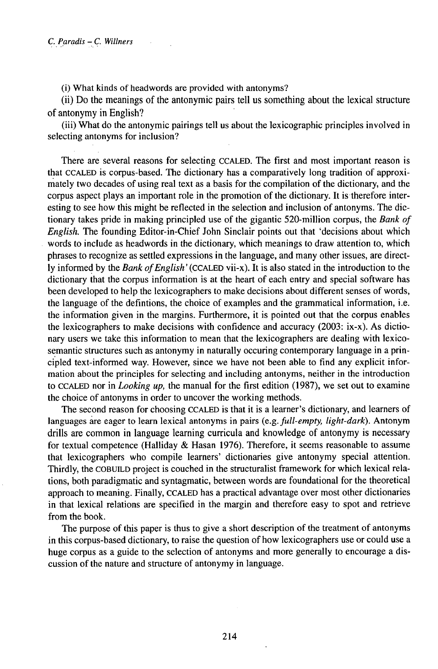(i) What kinds of headwords are provided with antonyms?

(ii) Do the meanings of the antonymic pairs tell us something about the lexical structure of antonymy in English?

(iii) What do the antonymic pairings tell us about the lexicographic principles involved in selecting antonyms for inclusion?

There are several reasons for selecting CCALED. The first and most important reason is that CCALED is corpus-based. The dictionary has a comparatively long tradition of approximately two decades of using real text as a basis for the compilation of the dictionary, and the corpus aspect plays an important role in the promotion of the dictionary. It is therefore interesting to see how this might be reflected in the selection and inclusion of antonyms. The dictionary takes pride in making principled use of the gigantic 520-million corpus, the *Bank of English.* The founding Editor-in-Chief John Sinclair points out that 'decisions about which words to include as headwords in the dictionary, which meanings to draw attention to, which phrases to recognize as settled expressions in the language, and many other issues, are directly informed by the *Bank ofEnglish'(CCALED* vii-x). It is also stated in the introduction to the dictionary that the corpus information is at the heart of each entry and special software has been developed to help the lexicographers to make decisions about different senses of words, the language of the defintions, the choice of examples and the grammatical information, i.e. the information given in the margins. Furthermore, it is pointed out that the corpus enables the lexicographers to make decisions with confidence and accuracy (2003: ix-x). As dictionary users we take this information to mean that the lexicographers are dealing with lexicosemantic structures such as antonymy in naturally occuring contemporary language in a principled text-informed way. However, since we have not been able to find any explicit information about the principles for selecting and including antonyms, neither in the introduction to CCALED nor in *Looking up,* the manual for the first edition (1987), we set out to examine the choice of antonyms in order to uncover the working methods.

The second reason for choosing CCALED is that it is a learner's dictionary, and learners of languages are eager to learn lexical antonyms in pairs (e.g. *full-empty, light-dark).* Antonym drills are common in language learning curricula and knowledge of antonymy is necessary for textual competence (Halliday & Hasan 1976). Therefore, it seems reasonable to assume that lexicographers who compile learners' dictionaries give antonymy special attention. Thirdly, the COBUELD project is couched in the structuralist framework for which lexical relations, both paradigmatic and syntagmatic, between words are foundational for the theoretical approach to meaning. Finally, CCALED has a practical advantage over most other dictionaries in that lexical relations are specified in the margin and therefore easy to spot and retrieve from the book.

The purpose of this paper is thus to give a short description of the treatment of antonyms in this corpus-based dictionary, to raise the question of how lexicographers use or could use a huge corpus as a guide to the selection of antonyms and more generally to encourage a discussion of the nature and structure of antonymy in language.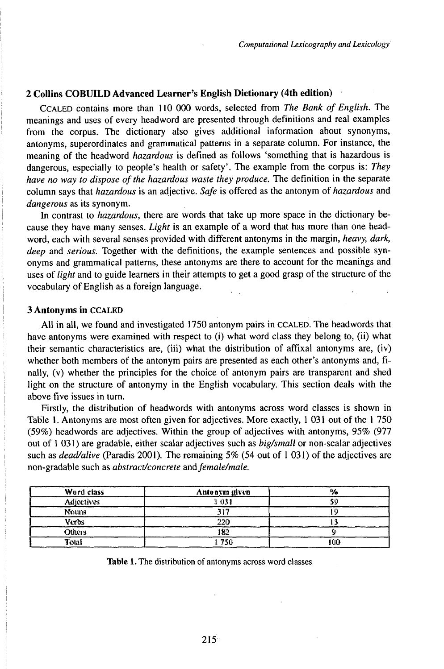## **2 Collins COBUILD Advanced Learner's English Dictionary (4th edition)**

CCALED contains more than 110 000 words, selected from *The Bank of English*. The meanings and uses of every headword are presented through definitions and real examples from the corpus. The dictionary also gives additional information about synonyms, antonyms, superordinates and grammatical patterns in a separate column. For instance, the meaning of the headword *hazardous* is defined as follows 'something that is hazardous is dangerous, especially to people's health or safety'. The example from the corpus is: *They have no way to dispose ofthe hazardous waste they produce.* The definition in the separate column says that *hazardous* is an adjective. *Safe* is offered as the antonym of *hazardous* and *dangerous* as its synonym.

In contrast to *hazardous,* there are words that take up more space in the dictionary because they have many senses. *Light* is an example of a word that has more than one headword, each with several senses provided with different antonyms in the margin, *heavy, dark, deep* and *serious.* Together with the definitions, the example sentences and possible synonyms and grammatical patterns, these antonyms are there to account for the meanings and uses of *light* and to guide learners in their attempts to get a good grasp of the structure of the vocabulary of English as a foreign language.

## **3 Antonyms in** CCALED

All in all, we found and investigated 1750 antonym pairs in CCALED. The headwords that have antonyms were examined with respect to (i) what word class they belong to, (ii) what their semantic characteristics are, (iii) what the distribution of affixal antonyms are, (iv) whether both members of the antonym pairs are presented as each other's antonyms and, finally, (v) whether the principles for the choice of antonym pairs are transparent and shed light on the structure of antonymy in the English vocabulary. This section deals with the above five issues in turn.

Firstly, the distribution of headwords with antonyms across word classes is shown in Table 1. Antonyms are most often given for adjectives. More exactly, 1 031 out of the 1 750 (59%) headwords are adjectives. Within the group of adjectives with antonyms, 95% (977 out of <sup>1</sup> 031 ) are gradable, either scalar adjectives such as *big/small* or non-scalar adjectives such as *dead/alive* (Paradis 2001). The remaining 5% (54 out of <sup>1</sup> 031) of the adjectives are non-gradable such as *abstract/concrete andfemale/male.*

| Word class        | Antonym given |    |
|-------------------|---------------|----|
| <b>Adjoctives</b> | 1 031         |    |
| Nouns             |               |    |
| Verbs             | ኃሳ            |    |
| Others            | 82            |    |
| Total             | 750           | 00 |

**Table 1.** The distribution of antonyms across word classes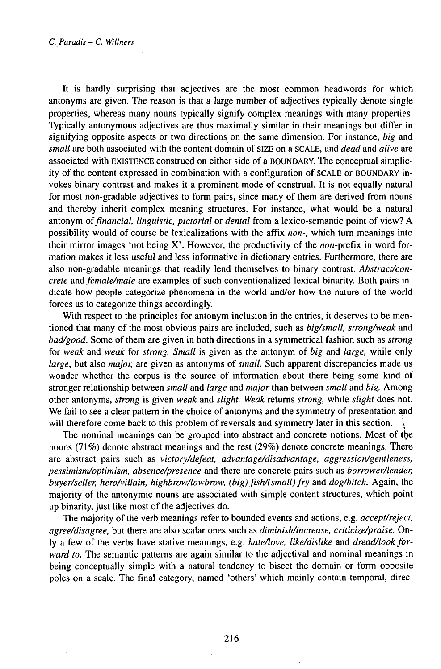It is hardly surprising that adjectives are the most common headwords for which antonyms are given. The reason is that a large number of adjectives typically denote single properties, whereas many nouns typically signify complex meanings with many properties. Typically antonymous adjectives are thus maximally similar in their meanings but differ in signifying opposite aspects or two directions on the same dimension. For instance, *big* and *small* are both associated with the content domain of SIZE on a SCALE, and *dead* and *alive* are associated with EXISTENCE construed on either side of a BOUNDARY. The conceptual simplicity of the content expressed in combination with a configuration of SCALE or BOUNDARY invokes binary contrast and makes it a prominent mode of construal. It is not equally natural for most non-gradable adjectives to form pairs, since many of them are derived from nouns and thereby inherit complex meaning structures. For instance, what would be a natural antonym *offinancial, linguistic, pictorial* or *dental* from a lexico-semantic point of view? A possibility would of course be lexicalizations with the affix *non-,* which turn meanings into their mirror images 'not being X'. However, the productivity of the *non*-prefix in word formation makes it less useful and less informative in dictionary entries. Furthermore, there are also non-gradable meanings that readily lend themselves to binary contrast. *Abstract/concrete* and *female/male* are examples of such conventionalized lexical binarity. Both pairs indicate how people categorize phenomena in the world and/or how the nature of the world forces us to categorize things accordingly.

With respect to the principles for antonym inclusion in the entries, it deserves to be mentioned that many of the most obvious pairs are included, such as *big/small, strong/weak* and *bad/good.* Some of them are given in both directions in a symmetrical fashion such as *strong* for *weak* and *weak* for *strong. Small* is given as the antonym of *big* and *large,* while only *large,* but also *major,* are given as antonyms of *small.* Such apparent discrepancies made us wonder whether the corpus is the source of information about there being some kind of stronger relationship between *small* and *large* and *major* than between *small* and *big.* Among other antonyms, *strong* is given *weak* and *slight. Weak* returns *strong,* while *slight* does not. We fail to see a clear pattern in the choice of antonyms and the symmetry of presentation and will therefore come back to this problem of reversals and symmetry later in this section. *\*

The nominal meanings can be grouped into abstract and concrete notions. Most of the nouns (71%) denote abstract meanings and the rest (29%) denote concrete meanings. There are abstract pairs such as *victory/defeat, advantage/disadvantage, aggression/gentleness, pessimism/optimism, absence/presence* and there are concrete pairs such as *borrower/lender, buyer/seller, hero/villain, highbrow/lowbrow, (big) fish/(small) fry and <i>dog/bitch*. Again, the majority of the antonymic nouns are associated with simple content structures, which point up binarity, just like most of the adjectives do.

The majority of the verb meanings refer to bounded events and actions, e.g. *accept/reject, agree/disagree,* but there are also scalar ones such as *diminish/increase, criticize/praise.* Only a few of the verbs have stative meanings, e.g. *hate/love, like/dislike* and *dread/look forward to.* The semantic patterns are again similar to the adjectival and nominal meanings in being conceptually simple with a natural tendency to bisect the domain or form opposite poles on a scale. The final category, named 'others' which mainly contain temporal, direc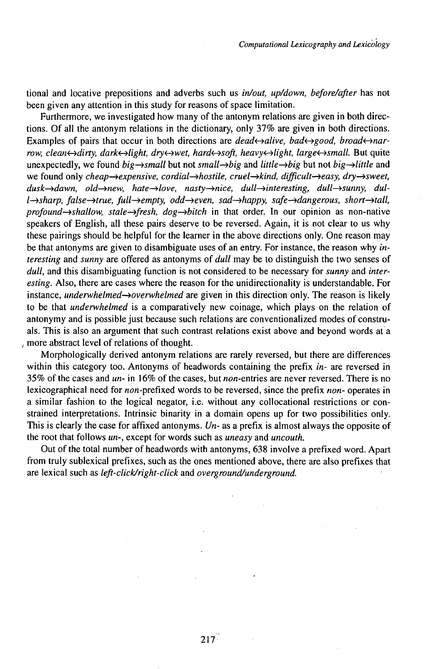tional and locative prepositions and adverbs such us *in/out, up/down, before/after* has not been given any attention in this study for reasons of space limitation.

Furthermore, we investigated how many of the antonym relations are given in both directions. Of all the antonym relations in the dictionary, only 37% are given in both directions. Examples of pairs that occur in both directions are *dead* $\leftrightarrow$ alive, *bad* $\leftrightarrow$ *good, broad* $\leftrightarrow$ *narrow, clean*←>dirty, *dark←>light, dry←>wet, hard←>soft, heavy←>light, large←>small.* But quite unexpectedly, we found  $big\rightarrow$ *small* but not *small* $\rightarrow$ *big* and *little* $\rightarrow$ *big* but not *big* $\rightarrow$ *little* and we found only *cheap→expensive, cordial→hostile, cruel→kind, difficult→easy, dry→sweet, dusk-^dawn, old-^new, hate—^love, nasty—^nice, dull—^interesting, dull^>sunny, dull*→sharp, *false*→true, *full→empty, odd→even, sad→happy, safe→dangerous, short→tall, profound—^shallow, stale^fresh, dog^>bitch* in that order. In our opinion as non-native speakers of English, all these pairs deserve to be reversed. Again, it is not clear to us why these pairings should be helpful for the learner in the above directions only. One reason may be that antonyms are given to disambiguate uses of an entry. For instance, the reason why *interesting* and *sunny* are offered as antonyms of *dull* may be to distinguish the two senses of *dull,* and this disambiguating function is not considered to be necessary for *sunny* and *interesting.* Also, there are cases where the reason for the unidirectionality is understandable. For instance, *underwhelmed*—*>overwhelmed* are given in this direction only. The reason is likely to be that *underwhelmed* is a comparatively new coinage, which plays on the relation of antonymy and is possible just because such relations are conventionalized modes of construals. This is also an argument that such contrast relations exist above and beyond words at a *,* more abstract level of relations of thought.

Morphologically derived antonym relations are rarely reversed, but there are differences within this category too. Antonyms of headwords containing the prefix *in-* are reversed in 35% of the cases and *un-* in 16% of the cases, but non-entries are never reversed. There is no lexicographical need for non-prefixed words to be reversed, since the prefix *non-* operates in a similar fashion to the logical negator, i.e. without any collocational restrictions or constrained interpretations. Intrinsic binarity in a domain opens up for two possibilities only. This is clearly the case for affixed antonyms. *Un-* as a prefix is almost always the opposite of the root that follows *un-,* except for words such as *uneasy* and *uncouth.*

Out of the total number of headwords with antonyms, 638 involve a prefixed word. Apart from truly sublexical prefixes, such as the ones mentioned above, there are also prefixes that are lexical such as *left-click/right-click* and *overground/underground.*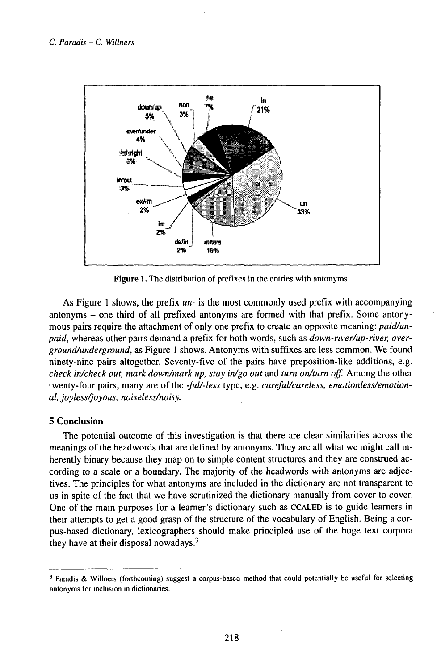

**Figure 1.** The distribution of prefixes in the entries with antonyms

As Figure <sup>1</sup> shows, the prefix *un-* is the most commonly used prefix with accompanying antonyms - one third of all prefixed antonyms are formed with that prefix. Some antonymous pairs require the attachment of only one prefix to create an opposite meaning: *paid/unpaid,* whereas other pairs demand a prefix for both words, such as *down-river/up-river, overground/underground,* as Figure <sup>1</sup> shows. Antonyms with suffixes are less common. We found ninety-nine pairs altogether. Seventy-five of the pairs have preposition-like additions, e.g. *check in/check out, mark down/mark up, stay in/go out* and *turn on/turn off.* Among the other twenty-four pairs, many are of the *-fuU-less* type, e.g. *carefuUcareless, emotionless/emotional, joyless/joyous, noiseless/noisy.*

## **5 Conclusion**

The potential outcome of this investigation is that there are clear similarities across the meanings of the headwords that are defined by antonyms. They are all what we might call inherently binary because they map on to simple content structures and they are construed according to a scale or a boundary. The majority of the headwords with antonyms are adjectives. The principles for what antonyms are included in the dictionary are not transparent to us in spite of the fact that we have scrutinized the dictionary manually from cover to cover. One of the main purposes for a learner's dictionary such as CCALED is to guide learners in their attempts to get a good grasp of the structure of the vocabulary of English. Being a corpus-based dictionary, lexicographers should make principled use of the huge text corpora they have at their disposal nowadays.<sup>3</sup>

<sup>3</sup> Paradis & Willners (forthcoming) suggest a corpus-based method that could potentially be useful for selecting antonyms for inclusion in dictionaries.